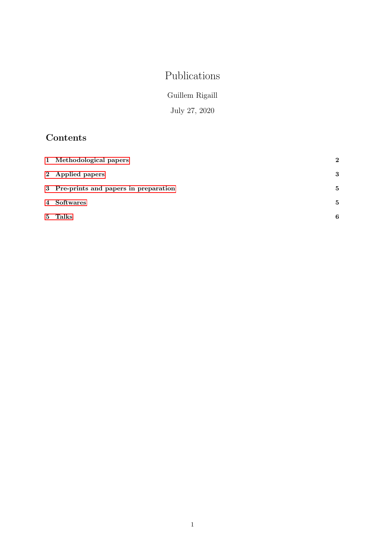# Publications

Guillem Rigaill

July 27, 2020

## Contents

| 1 Methodological papers                | $\mathbf 2$ |
|----------------------------------------|-------------|
| 2 Applied papers                       | 3           |
| 3 Pre-prints and papers in preparation | 5           |
| 4 Softwares                            | 5           |
| 5 Talks                                | 6           |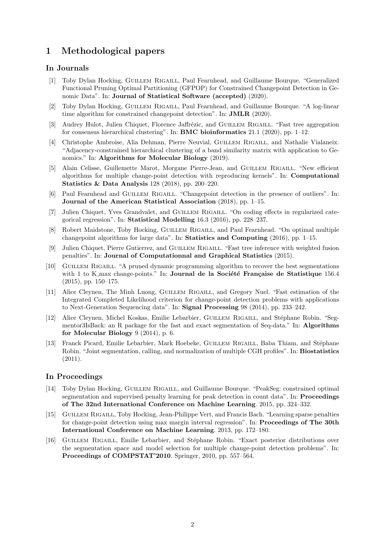### <span id="page-1-0"></span>1 Methodological papers

### In Journals

- [1] Toby Dylan Hocking, Guillem Rigaill, Paul Fearnhead, and Guillaume Bourque. "Generalized Functional Pruning Optimal Partitioning (GFPOP) for Constrained Changepoint Detection in Genomic Data". In: Journal of Statistical Software (accepted) (2020).
- [2] Toby Dylan Hocking, Guillem Rigaill, Paul Fearnhead, and Guillaume Bourque. "A log-linear time algorithm for constrained changepoint detection". In: JMLR (2020).
- [3] Audrey Hulot, Julien Chiquet, Florence Jaffrézic, and GUILLEM RIGAILL. "Fast tree aggregation" for consensus hierarchical clustering". In: **BMC bioinformatics** 21.1 (2020), pp. 1–12.
- [4] Christophe Ambroise, Alia Dehman, Pierre Neuvial, Guillem Rigaill, and Nathalie Vialaneix. "Adjacency-constrained hierarchical clustering of a band similarity matrix with application to Genomics." In: Algorithms for Molecular Biology (2019).
- [5] Alain Celisse, Guillemette Marot, Morgane Pierre-Jean, and GUILLEM RIGAILL. "New efficient algorithms for multiple change-point detection with reproducing kernels". In: Computational Statistics & Data Analysis 128 (2018), pp. 200–220.
- [6] Paul Fearnhead and GUILLEM RIGAILL. "Changepoint detection in the presence of outliers". In: Journal of the American Statistical Association (2018), pp. 1–15.
- [7] Julien Chiquet, Yves Grandvalet, and Guillem Rigaill. "On coding effects in regularized categorical regression". In: Statistical Modelling 16.3 (2016), pp. 228–237.
- [8] Robert Maidstone, Toby Hocking, GUILLEM RIGAILL, and Paul Fearnhead. "On optimal multiple changepoint algorithms for large data". In: Statistics and Computing (2016), pp. 1–15.
- [9] Julien Chiquet, Pierre Gutierrez, and Guillem Rigaill. "Fast tree inference with weighted fusion penalties". In: Journal of Computationnal and Graphical Statistics (2015).
- [10] Guillem Rigaill. "A pruned dynamic programming algorithm to recover the best segmentations with 1 to K max change-points." In: **Journal de la Société Française de Statistique** 156.4 (2015), pp. 150–175.
- [11] Alice Cleynen, The Minh Luong, Guillem Rigaill, and Gregory Nuel. "Fast estimation of the Integrated Completed Likelihood criterion for change-point detection problems with applications to Next-Generation Sequencing data". In: Signal Processing 98 (2014), pp. 233–242.
- [12] Alice Cleynen, Michel Koskas, Emilie Lebarbier, GUILLEM RIGAILL, and Stéphane Robin. "Segmentor3IsBack: an R package for the fast and exact segmentation of Seq-data." In: Algorithms for Molecular Biology 9 (2014), p. 6.
- [13] Franck Picard, Emilie Lebarbier, Mark Hoebeke, GUILLEM RIGAILL, Baba Thiam, and Stéphane Robin. "Joint segmentation, calling, and normalization of multiple CGH profiles". In: Biostatistics (2011).

#### In Proceedings

- [14] Toby Dylan Hocking, GUILLEM RIGAILL, and Guillaume Bourque. "PeakSeg: constrained optimal segmentation and supervised penalty learning for peak detection in count data". In: **Proceedings** of The 32nd International Conference on Machine Learning. 2015, pp. 324–332.
- [15] Guillem Rigaill, Toby Hocking, Jean-Philippe Vert, and Francis Bach. "Learning sparse penalties for change-point detection using max margin interval regression". In: Proceedings of The 30th International Conference on Machine Learning. 2013, pp. 172–180.
- <span id="page-1-1"></span>[16] GUILLEM RIGAILL, Emilie Lebarbier, and Stéphane Robin. "Exact posterior distributions over the segmentation space and model selection for multiple change-point detection problems". In: Proceedings of COMPSTAT'2010. Springer, 2010, pp. 557–564.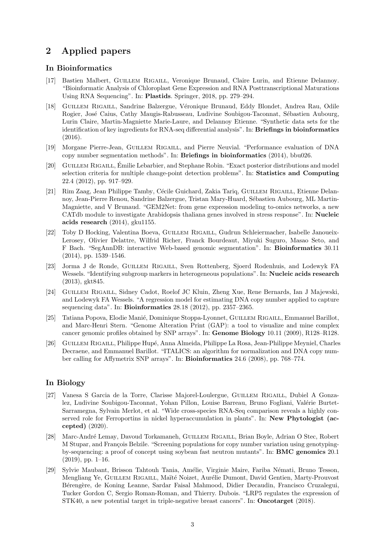### 2 Applied papers

#### In Bioinformatics

- [17] Bastien Malbert, GUILLEM RIGAILL, Veronique Brunaud, Claire Lurin, and Etienne Delannoy. "Bioinformatic Analysis of Chloroplast Gene Expression and RNA Posttranscriptional Maturations Using RNA Sequencing". In: Plastids. Springer, 2018, pp. 279–294.
- [18] GUILLEM RIGAILL, Sandrine Balzergue, Véronique Brunaud, Eddy Blondet, Andrea Rau, Odile Rogier, José Caius, Cathy Maugis-Rabusseau, Ludivine Soubigou-Taconnat, Sébastien Aubourg, Lurin Claire, Martin-Magniette Marie-Laure, and Delannoy Etienne. "Synthetic data sets for the identification of key ingredients for RNA-seq differential analysis". In: Briefings in bioinformatics (2016).
- [19] Morgane Pierre-Jean, Guillem Rigaill, and Pierre Neuvial. "Performance evaluation of DNA copy number segmentation methods". In: Briefings in bioinformatics (2014), bbu026.
- [20] GUILLEM RIGAILL, Emilie Lebarbier, and Stephane Robin. "Exact posterior distributions and model selection criteria for multiple change-point detection problems". In: Statistics and Computing 22.4 (2012), pp. 917–929.
- [21] Rim Zaag, Jean Philippe Tamby, Cécile Guichard, Zakia Tariq, GUILLEM RIGAILL, Etienne Delannoy, Jean-Pierre Renou, Sandrine Balzergue, Tristan Mary-Huard, Sébastien Aubourg, ML Martin-Magniette, and V Brunaud. "GEM2Net: from gene expression modeling to-omics networks, a new CATdb module to investigate Arabidopsis thaliana genes involved in stress response". In: Nucleic acids research (2014), gku1155.
- [22] Toby D Hocking, Valentina Boeva, Guillem Rigaill, Gudrun Schleiermacher, Isabelle Janoueix-Lerosey, Olivier Delattre, Wilfrid Richer, Franck Bourdeaut, Miyuki Suguro, Masao Seto, and F Bach. "SegAnnDB: interactive Web-based genomic segmentation". In: Bioinformatics 30.11 (2014), pp. 1539–1546.
- [23] Jorma J de Ronde, Guillem Rigaill, Sven Rottenberg, Sjoerd Rodenhuis, and Lodewyk FA Wessels. "Identifying subgroup markers in heterogeneous populations". In: **Nucleic acids research** (2013), gkt845.
- [24] Guillem Rigaill, Sidney Cadot, Roelof JC Kluin, Zheng Xue, Rene Bernards, Ian J Majewski, and Lodewyk FA Wessels. "A regression model for estimating DNA copy number applied to capture sequencing data". In: Bioinformatics 28.18 (2012), pp. 2357–2365.
- [25] Tatiana Popova, Elodie Manié, Dominique Stoppa-Lyonnet, GUILLEM RIGAILL, Emmanuel Barillot, and Marc-Henri Stern. "Genome Alteration Print (GAP): a tool to visualize and mine complex cancer genomic profiles obtained by SNP arrays". In: Genome Biology 10.11 (2009), R128–R128.
- [26] Guillem Rigaill, Philippe Hup´e, Anna Almeida, Philippe La Rosa, Jean-Philippe Meyniel, Charles Decraene, and Emmanuel Barillot. "ITALICS: an algorithm for normalization and DNA copy number calling for Affymetrix SNP arrays". In: Bioinformatics 24.6 (2008), pp. 768–774.

#### In Biology

- [27] Vanesa S Garcia de la Torre, Clarisse Majorel-Loulergue, GUILLEM RIGAILL, Dubiel A Gonzalez, Ludivine Soubigou-Taconnat, Yohan Pillon, Louise Barreau, Bruno Fogliani, Valérie Burtet-Sarramegna, Sylvain Merlot, et al. "Wide cross-species RNA-Seq comparison reveals a highly conserved role for Ferroportins in nickel hyperaccumulation in plants". In: New Phytologist (accepted) (2020).
- [28] Marc-André Lemay, Davoud Torkamaneh, GUILLEM RIGAILL, Brian Boyle, Adrian O Stec, Robert M Stupar, and François Belzile. "Screening populations for copy number variation using genotypingby-sequencing: a proof of concept using soybean fast neutron mutants". In: BMC genomics 20.1  $(2019)$ , pp. 1–16.
- [29] Sylvie Maubant, Brisson Tahtouh Tania, Am´elie, Virginie Maire, Fariba N´emati, Bruno Tesson, Mengliang Ye, GUILLEM RIGAILL, Maïté Noizet, Aurélie Dumont, David Gentien, Marty-Prouvost Bérengère, de Koning Leanne, Sardar Faisal Mahmood, Didier Decaudin, Francisco Cruzalegui, Tucker Gordon C, Sergio Roman-Roman, and Thierry. Dubois. "LRP5 regulates the expression of STK40, a new potential target in triple-negative breast cancers". In: Oncotarget (2018).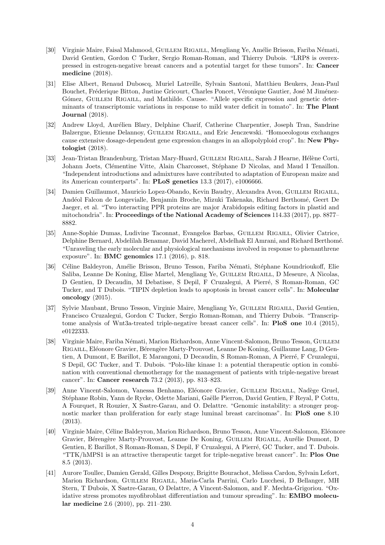- [30] Virginie Maire, Faisal Mahmood, GUILLEM RIGAILL, Mengliang Ye, Amélie Brisson, Fariba Némati, David Gentien, Gordon C Tucker, Sergio Roman-Roman, and Thierry Dubois. "LRP8 is overexpressed in estrogen-negative breast cancers and a potential target for these tumors". In: Cancer medicine (2018).
- [31] Elise Albert, Renaud Duboscq, Muriel Latreille, Sylvain Santoni, Matthieu Beukers, Jean-Paul Bouchet, Fréderique Bitton, Justine Gricourt, Charles Poncet, Véronique Gautier, José M Jiménez-Gómez, GUILLEM RIGAILL, and Mathilde. Causse. "Allele specific expression and genetic determinants of transcriptomic variations in response to mild water deficit in tomato". In: The Plant Journal (2018).
- [32] Andrew Lloyd, Aurélien Blary, Delphine Charif, Catherine Charpentier, Joseph Tran, Sandrine Balzergue, Etienne Delannoy, GUILLEM RIGAILL, and Eric Jenczewski. "Homoeologous exchanges cause extensive dosage-dependent gene expression changes in an allopolyploid crop". In: New Phytologist (2018).
- [33] Jean-Tristan Brandenburg, Tristan Mary-Huard, GUILLEM RIGAILL, Sarah J Hearne, Hélène Corti, Johann Joets, Clémentine Vitte, Alain Charcosset, Stéphane D Nicolas, and Maud I Tenaillon. "Independent introductions and admixtures have contributed to adaptation of European maize and its American counterparts". In: PLoS genetics 13.3 (2017), e1006666.
- [34] Damien Guillaumot, Mauricio Lopez-Obando, Kevin Baudry, Alexandra Avon, Guillem Rigaill, And´eol Falcon de Longevialle, Benjamin Broche, Mizuki Takenaka, Richard Berthom´e, Geert De Jaeger, et al. "Two interacting PPR proteins are major Arabidopsis editing factors in plastid and mitochondria". In: Proceedings of the National Academy of Sciences 114.33 (2017), pp. 8877– 8882.
- [35] Anne-Sophie Dumas, Ludivine Taconnat, Evangelos Barbas, GUILLEM RIGAILL, Olivier Catrice, Delphine Bernard, Abdelilah Benamar, David Macherel, Abdelhak El Amrani, and Richard Berthom´e. "Unraveling the early molecular and physiological mechanisms involved in response to phenanthrene exposure". In: BMC genomics 17.1 (2016), p. 818.
- [36] Céline Baldeyron, Amélie Brisson, Bruno Tesson, Fariba Némati, Stéphane Koundrioukoff, Elie Saliba, Leanne De Koning, Elise Martel, Mengliang Ye, Guillem Rigaill, D Meseure, A Nicolas, D Gentien, D Decaudin, M Debatisse, S Depil, F Cruzalegui, A Pierré, S Roman-Roman, GC Tucker, and T Dubois. "TIPIN depletion leads to apoptosis in breast cancer cells". In: Molecular oncology (2015).
- [37] Sylvie Maubant, Bruno Tesson, Virginie Maire, Mengliang Ye, Guillem Rigaill, David Gentien, Francisco Cruzalegui, Gordon C Tucker, Sergio Roman-Roman, and Thierry Dubois. "Transcriptome analysis of Wnt3a-treated triple-negative breast cancer cells". In: PloS one 10.4 (2015), e0122333.
- [38] Virginie Maire, Fariba Némati, Marion Richardson, Anne Vincent-Salomon, Bruno Tesson, GUILLEM RIGAILL, Eléonore Gravier, Bérengère Marty-Prouvost, Leanne De Koning, Guillaume Lang, D Gentien, A Dumont, E Barillot, E Marangoni, D Decaudin, S Roman-Roman, A Pierré, F Cruzalegui, S Depil, GC Tucker, and T. Dubois. "Polo-like kinase 1: a potential therapeutic option in combination with conventional chemotherapy for the management of patients with triple-negative breast cancer". In: Cancer research 73.2 (2013), pp. 813–823.
- [39] Anne Vincent-Salomon, Vanessa Benhamo, Eléonore Gravier, GUILLEM RIGAILL, Nadège Gruel, Stéphane Robin, Yann de Rycke, Odette Mariani, Gaëlle Pierron, David Gentien, F Reyal, P Cottu, A Fourquet, R Rouzier, X Sastre-Garau, and O. Delattre. "Genomic instability: a stronger prognostic marker than proliferation for early stage luminal breast carcinomas". In: PloS one 8.10 (2013).
- [40] Virginie Maire, Céline Baldeyron, Marion Richardson, Bruno Tesson, Anne Vincent-Salomon, Eléonore Gravier, Bérengère Marty-Prouvost, Leanne De Koning, GUILLEM RIGAILL, Aurélie Dumont, D Gentien, E Barillot, S Roman-Roman, S Depil, F Cruzalegui, A Pierré, GC Tucker, and T. Dubois. "TTK/hMPS1 is an attractive therapeutic target for triple-negative breast cancer". In: Plos One 8.5 (2013).
- [41] Aurore Toullec, Damien Gerald, Gilles Despouy, Brigitte Bourachot, Melissa Cardon, Sylvain Lefort, Marion Richardson, Guillem Rigaill, Maria-Carla Parrini, Carlo Lucchesi, D Bellanger, MH Stern, T Dubois, X Sastre-Garau, O Delattre, A Vincent-Salomon, and F. Mechta-Grigoriou. "Oxidative stress promotes myofibroblast differentiation and tumour spreading". In: EMBO molecular medicine 2.6 (2010), pp. 211–230.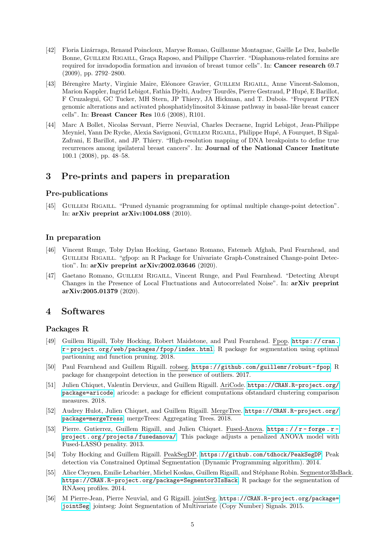- [42] Floria Lizárraga, Renaud Poincloux, Maryse Romao, Guillaume Montagnac, Gaëlle Le Dez, Isabelle Bonne, GUILLEM RIGAILL, Graça Raposo, and Philippe Chavrier. "Diaphanous-related formins are required for invadopodia formation and invasion of breast tumor cells". In: Cancer research 69.7 (2009), pp. 2792–2800.
- [43] Bérengère Marty, Virginie Maire, Eléonore Gravier, GUILLEM RIGAILL, Anne Vincent-Salomon, Marion Kappler, Ingrid Lebigot, Fathia Djelti, Audrey Tourdès, Pierre Gestraud, P Hupé, E Barillot, F Cruzalegui, GC Tucker, MH Stern, JP Thiery, JA Hickman, and T. Dubois. "Frequent PTEN genomic alterations and activated phosphatidylinositol 3-kinase pathway in basal-like breast cancer cells". In: Breast Cancer Res 10.6 (2008), R101.
- [44] Marc A Bollet, Nicolas Servant, Pierre Neuvial, Charles Decraene, Ingrid Lebigot, Jean-Philippe Meyniel, Yann De Rycke, Alexia Savignoni, GUILLEM RIGAILL, Philippe Hupé, A Fourquet, B Sigal-Zafrani, E Barillot, and JP. Thiery. "High-resolution mapping of DNA breakpoints to define true recurrences among ipsilateral breast cancers". In: Journal of the National Cancer Institute 100.1 (2008), pp. 48–58.

### <span id="page-4-0"></span>3 Pre-prints and papers in preparation

### Pre-publications

[45] GUILLEM RIGAILL. "Pruned dynamic programming for optimal multiple change-point detection". In: arXiv preprint arXiv:1004.088 (2010).

### In preparation

- [46] Vincent Runge, Toby Dylan Hocking, Gaetano Romano, Fatemeh Afghah, Paul Fearnhead, and Guillem Rigaill. "gfpop: an R Package for Univariate Graph-Constrained Change-point Detection". In: arXiv preprint arXiv:2002.03646 (2020).
- [47] Gaetano Romano, Guillem Rigaill, Vincent Runge, and Paul Fearnhead. "Detecting Abrupt Changes in the Presence of Local Fluctuations and Autocorrelated Noise". In: arXiv preprint arXiv:2005.01379 (2020).

### <span id="page-4-1"></span>4 Softwares

### Packages R

- [49] Guillem Rigaill, Toby Hocking, Robert Maidstone, and Paul Fearnhead. Fpop. [https://cran.](https://cran.r-project.org/web/packages/fpop/index.html) [r- project.org/web/packages/fpop/index.html](https://cran.r-project.org/web/packages/fpop/index.html). R package for segmentation using optimal partionning and function pruning. 2018.
- [50] Paul Fearnhead and Guillem Rigaill. robseg. [https://github.com/guillemr/robust- fpop](https://github.com/guillemr/robust-fpop). R package for changepoint detection in the presence of outliers. 2017.
- [51] Julien Chiquet, Valentin Dervieux, and Guillem Rigaill. AriCode. [https://CRAN.R-project.org/](https://CRAN.R-project.org/package=aricode) [package=aricode](https://CRAN.R-project.org/package=aricode). aricode: a package for efficient computations ofstandard clustering comparison measures. 2018.
- [52] Audrey Hulot, Julien Chiquet, and Guillem Rigaill. MergeTree. [https://CRAN.R-project.org/](https://CRAN.R-project.org/package=mergeTress) [package=mergeTress](https://CRAN.R-project.org/package=mergeTress). mergeTrees: Aggregating Trees. 2018.
- [53] Pierre. Gutierrez, Guillem Rigaill, and Julien Chiquet. Fused-Anova. [https : / / r forge . r](https://r-forge.r-project.org/projects/fusedanova/)  [project . org / projects / fusedanova/](https://r-forge.r-project.org/projects/fusedanova/). This package adjusts a penalized ANOVA model with Fused-LASSO penality. 2013.
- [54] Toby Hocking and Guillem Rigaill. PeakSegDP. <https://github.com/tdhock/PeakSegDP>. Peak detection via Constrained Optimal Segmentation (Dynamic Programming algorithm). 2014.
- [55] Alice Cleynen, Emilie Lebarbier, Michel Koskas, Guillem Rigaill, and Stéphane Robin. Segmentor3IsBack. <https://CRAN.R-project.org/package=Segmentor3IsBack>. R package for the segmentation of RNAseq profiles. 2014.
- [56] M Pierre-Jean, Pierre Neuvial, and G Rigaill. jointSeg. [https://CRAN.R-project.org/package=](https://CRAN.R-project.org/package=jointSeg) [jointSeg](https://CRAN.R-project.org/package=jointSeg). jointseg: Joint Segmentation of Multivariate (Copy Number) Signals. 2015.